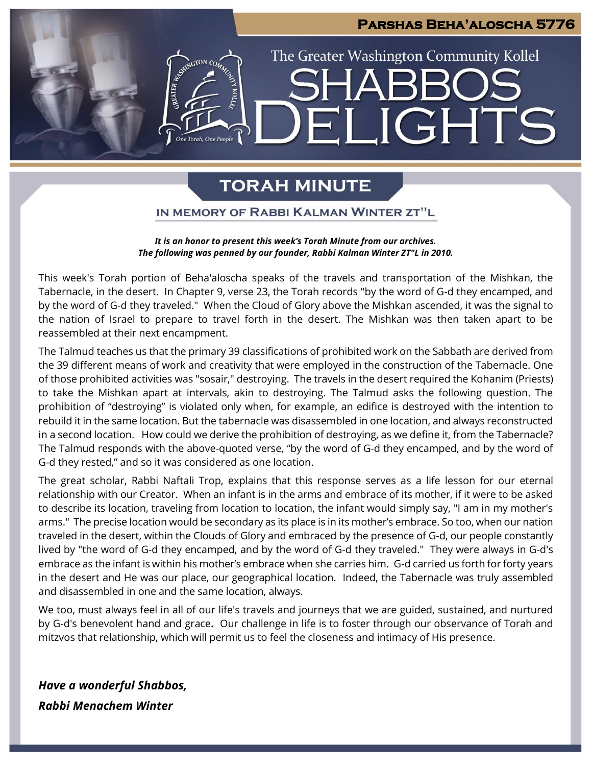### **Parshas Beha'aloscha 5776**

**JGHTS** 

The Greater Washington Community Kollel

## **TORAH MINUTE**

 $\Box$ 

### IN MEMORY OF RABBI KALMAN WINTER ZT"L

#### *It is an honor to present this week's Torah Minute from our archives. The following was penned by our founder, Rabbi Kalman Winter ZT"L in 2010.*

This week's Torah portion of Beha'aloscha speaks of the travels and transportation of the Mishkan, the Tabernacle, in the desert. In Chapter 9, verse 23, the Torah records "by the word of G-d they encamped, and by the word of G-d they traveled." When the Cloud of Glory above the Mishkan ascended, it was the signal to the nation of Israel to prepare to travel forth in the desert. The Mishkan was then taken apart to be reassembled at their next encampment.

The Talmud teaches us that the primary 39 classifications of prohibited work on the Sabbath are derived from the 39 different means of work and creativity that were employed in the construction of the Tabernacle. One of those prohibited activities was "sosair," destroying. The travels in the desert required the Kohanim (Priests) to take the Mishkan apart at intervals, akin to destroying. The Talmud asks the following question. The prohibition of "destroying" is violated only when, for example, an edifice is destroyed with the intention to rebuild it in the same location. But the tabernacle was disassembled in one location, and always reconstructed in a second location. How could we derive the prohibition of destroying, as we define it, from the Tabernacle? The Talmud responds with the above-quoted verse, "by the word of G-d they encamped, and by the word of G-d they rested," and so it was considered as one location.

The great scholar, Rabbi Naftali Trop, explains that this response serves as a life lesson for our eternal relationship with our Creator. When an infant is in the arms and embrace of its mother, if it were to be asked to describe its location, traveling from location to location, the infant would simply say, "I am in my mother's arms." The precise location would be secondary as its place is in its mother's embrace. So too, when our nation traveled in the desert, within the Clouds of Glory and embraced by the presence of G-d, our people constantly lived by "the word of G-d they encamped, and by the word of G-d they traveled." They were always in G-d's embrace as the infant is within his mother's embrace when she carries him. G-d carried us forth for forty years in the desert and He was our place, our geographical location. Indeed, the Tabernacle was truly assembled and disassembled in one and the same location, always.

We too, must always feel in all of our life's travels and journeys that we are guided, sustained, and nurtured by G-d's benevolent hand and grace**.** Our challenge in life is to foster through our observance of Torah and mitzvos that relationship, which will permit us to feel the closeness and intimacy of His presence.

*Have a wonderful Shabbos, Rabbi Menachem Winter*